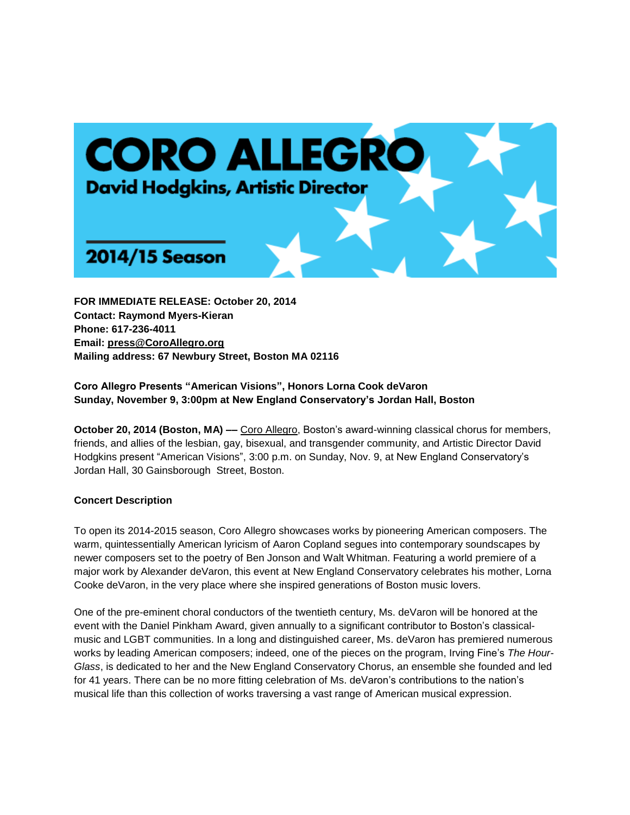

**FOR IMMEDIATE RELEASE: October 20, 2014 Contact: Raymond Myers-Kieran Phone: 617-236-4011 Email: [press@CoroAllegro.org](http://h) Mailing address: 67 Newbury Street, Boston MA 02116**

**Coro Allegro Presents "American Visions", Honors Lorna Cook deVaron Sunday, November 9, 3:00pm at New England Conservatory's Jordan Hall, Boston** 

**October 20, 2014 (Boston, MA) ––** [Coro Allegro,](http://h) Boston's award-winning classical chorus for members, friends, and allies of the lesbian, gay, bisexual, and transgender community, and Artistic Director David Hodgkins present "American Visions", 3:00 p.m. on Sunday, Nov. 9, at New England Conservatory's Jordan Hall, 30 Gainsborough Street, Boston.

### **Concert Description**

To open its 2014-2015 season, Coro Allegro showcases works by pioneering American composers. The warm, quintessentially American lyricism of Aaron Copland segues into contemporary soundscapes by newer composers set to the poetry of Ben Jonson and Walt Whitman. Featuring a world premiere of a major work by Alexander deVaron, this event at New England Conservatory celebrates his mother, Lorna Cooke deVaron, in the very place where she inspired generations of Boston music lovers.

One of the pre-eminent choral conductors of the twentieth century, Ms. deVaron will be honored at the event with the Daniel Pinkham Award, given annually to a significant contributor to Boston's classicalmusic and LGBT communities. In a long and distinguished career, Ms. deVaron has premiered numerous works by leading American composers; indeed, one of the pieces on the program, Irving Fine's *The Hour-Glass*, is dedicated to her and the New England Conservatory Chorus, an ensemble she founded and led for 41 years. There can be no more fitting celebration of Ms. deVaron's contributions to the nation's musical life than this collection of works traversing a vast range of American musical expression.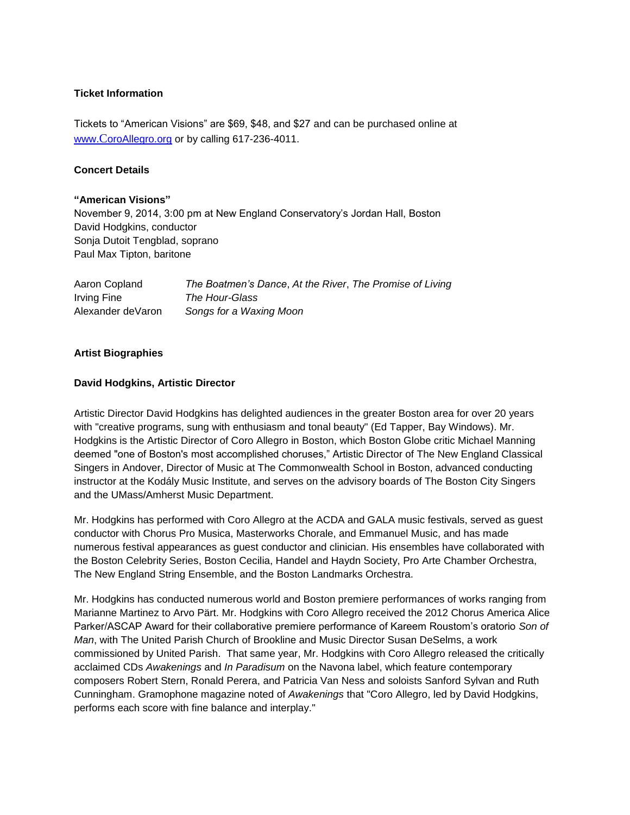### **Ticket Information**

Tickets to "American Visions" are \$69, \$48, and \$27 and can be purchased online at www.C[oroAllegro.org](http://www.coroallegro.org/) or by calling 617-236-4011.

### **Concert Details**

### **"American Visions"**

November 9, 2014, 3:00 pm at New England Conservatory's Jordan Hall, Boston David Hodgkins, conductor Sonja Dutoit Tengblad, soprano Paul Max Tipton, baritone

| Aaron Copland     | The Boatmen's Dance, At the River, The Promise of Living |
|-------------------|----------------------------------------------------------|
| Irving Fine       | The Hour-Glass                                           |
| Alexander deVaron | Songs for a Waxing Moon                                  |

### **Artist Biographies**

### **David Hodgkins, Artistic Director**

Artistic Director David Hodgkins has delighted audiences in the greater Boston area for over 20 years with "creative programs, sung with enthusiasm and tonal beauty" (Ed Tapper, Bay Windows). Mr. Hodgkins is the Artistic Director of Coro Allegro in Boston, which Boston Globe critic Michael Manning deemed "one of Boston's most accomplished choruses," Artistic Director of The New England Classical Singers in Andover, Director of Music at The Commonwealth School in Boston, advanced conducting instructor at the Kodály Music Institute, and serves on the advisory boards of The Boston City Singers and the UMass/Amherst Music Department.

Mr. Hodgkins has performed with Coro Allegro at the ACDA and GALA music festivals, served as guest conductor with Chorus Pro Musica, Masterworks Chorale, and Emmanuel Music, and has made numerous festival appearances as guest conductor and clinician. His ensembles have collaborated with the Boston Celebrity Series, Boston Cecilia, Handel and Haydn Society, Pro Arte Chamber Orchestra, The New England String Ensemble, and the Boston Landmarks Orchestra.

Mr. Hodgkins has conducted numerous world and Boston premiere performances of works ranging from Marianne Martinez to Arvo Pärt. Mr. Hodgkins with Coro Allegro received the 2012 Chorus America Alice Parker/ASCAP Award for their collaborative premiere performance of Kareem Roustom's oratorio *Son of Man*, with The United Parish Church of Brookline and Music Director Susan DeSelms, a work commissioned by United Parish. That same year, Mr. Hodgkins with Coro Allegro released the critically acclaimed CDs *Awakenings* and *In Paradisum* on the Navona label, which feature contemporary composers Robert Stern, Ronald Perera, and Patricia Van Ness and soloists Sanford Sylvan and Ruth Cunningham. Gramophone magazine noted of *Awakenings* that "Coro Allegro, led by David Hodgkins, performs each score with fine balance and interplay."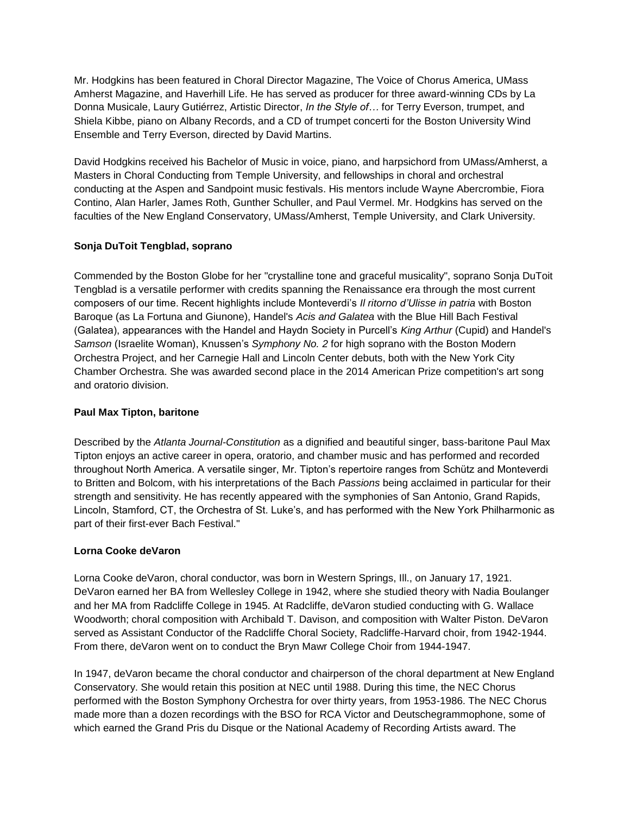Mr. Hodgkins has been featured in Choral Director Magazine, The Voice of Chorus America, UMass Amherst Magazine, and Haverhill Life. He has served as producer for three award-winning CDs by La Donna Musicale, Laury Gutiérrez, Artistic Director, *In the Style of…* for Terry Everson, trumpet, and Shiela Kibbe, piano on Albany Records, and a CD of trumpet concerti for the Boston University Wind Ensemble and Terry Everson, directed by David Martins.

David Hodgkins received his Bachelor of Music in voice, piano, and harpsichord from UMass/Amherst, a Masters in Choral Conducting from Temple University, and fellowships in choral and orchestral conducting at the Aspen and Sandpoint music festivals. His mentors include Wayne Abercrombie, Fiora Contino, Alan Harler, James Roth, Gunther Schuller, and Paul Vermel. Mr. Hodgkins has served on the faculties of the New England Conservatory, UMass/Amherst, Temple University, and Clark University.

# **Sonja DuToit Tengblad, soprano**

Commended by the Boston Globe for her "crystalline tone and graceful musicality", soprano Sonja DuToit Tengblad is a versatile performer with credits spanning the Renaissance era through the most current composers of our time. Recent highlights include Monteverdi's *Il ritorno d'Ulisse in patria* with Boston Baroque (as La Fortuna and Giunone), Handel's *Acis and Galatea* with the Blue Hill Bach Festival (Galatea), appearances with the Handel and Haydn Society in Purcell's *King Arthur* (Cupid) and Handel's *Samson* (Israelite Woman), Knussen's *Symphony No. 2* for high soprano with the Boston Modern Orchestra Project, and her Carnegie Hall and Lincoln Center debuts, both with the New York City Chamber Orchestra. She was awarded second place in the 2014 American Prize competition's art song and oratorio division.

# **Paul Max Tipton, baritone**

Described by the *Atlanta Journal-Constitution* as a dignified and beautiful singer, bass-baritone Paul Max Tipton enjoys an active career in opera, oratorio, and chamber music and has performed and recorded throughout North America. A versatile singer, Mr. Tipton's repertoire ranges from Schütz and Monteverdi to Britten and Bolcom, with his interpretations of the Bach *Passions* being acclaimed in particular for their strength and sensitivity. He has recently appeared with the symphonies of San Antonio, Grand Rapids, Lincoln, Stamford, CT, the Orchestra of St. Luke's, and has performed with the New York Philharmonic as part of their first-ever Bach Festival."

## **Lorna Cooke deVaron**

Lorna Cooke deVaron, choral conductor, was born in Western Springs, Ill., on January 17, 1921. DeVaron earned her BA from Wellesley College in 1942, where she studied theory with Nadia Boulanger and her MA from Radcliffe College in 1945. At Radcliffe, deVaron studied conducting with G. Wallace Woodworth; choral composition with Archibald T. Davison, and composition with Walter Piston. DeVaron served as Assistant Conductor of the Radcliffe Choral Society, Radcliffe-Harvard choir, from 1942-1944. From there, deVaron went on to conduct the Bryn Mawr College Choir from 1944-1947.

In 1947, deVaron became the choral conductor and chairperson of the choral department at New England Conservatory. She would retain this position at NEC until 1988. During this time, the NEC Chorus performed with the Boston Symphony Orchestra for over thirty years, from 1953-1986. The NEC Chorus made more than a dozen recordings with the BSO for RCA Victor and Deutschegrammophone, some of which earned the Grand Pris du Disque or the National Academy of Recording Artists award. The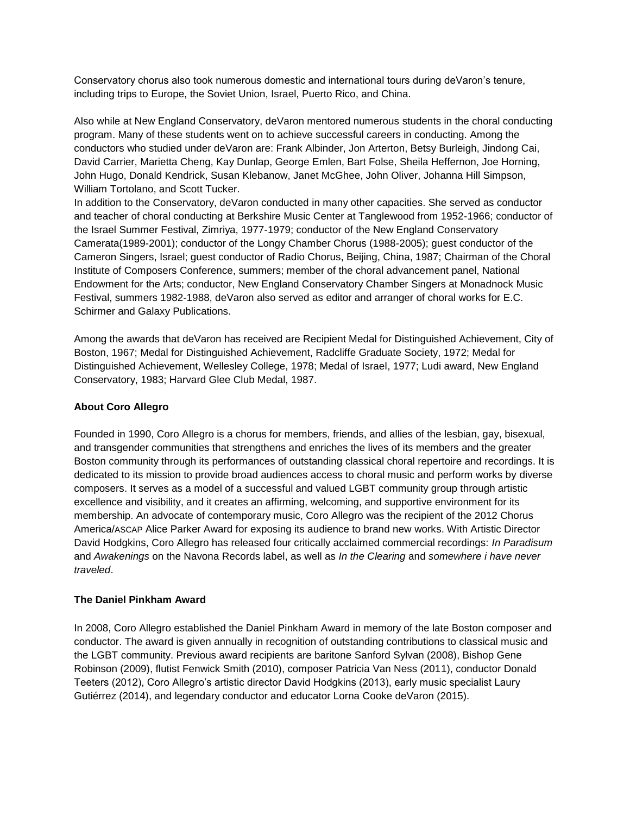Conservatory chorus also took numerous domestic and international tours during deVaron's tenure, including trips to Europe, the Soviet Union, Israel, Puerto Rico, and China.

Also while at New England Conservatory, deVaron mentored numerous students in the choral conducting program. Many of these students went on to achieve successful careers in conducting. Among the conductors who studied under deVaron are: Frank Albinder, Jon Arterton, Betsy Burleigh, Jindong Cai, David Carrier, Marietta Cheng, Kay Dunlap, George Emlen, Bart Folse, Sheila Heffernon, Joe Horning, John Hugo, Donald Kendrick, Susan Klebanow, Janet McGhee, John Oliver, Johanna Hill Simpson, William Tortolano, and Scott Tucker.

In addition to the Conservatory, deVaron conducted in many other capacities. She served as conductor and teacher of choral conducting at Berkshire Music Center at Tanglewood from 1952-1966; conductor of the Israel Summer Festival, Zimriya, 1977-1979; conductor of the New England Conservatory Camerata(1989-2001); conductor of the Longy Chamber Chorus (1988-2005); guest conductor of the Cameron Singers, Israel; guest conductor of Radio Chorus, Beijing, China, 1987; Chairman of the Choral Institute of Composers Conference, summers; member of the choral advancement panel, National Endowment for the Arts; conductor, New England Conservatory Chamber Singers at Monadnock Music Festival, summers 1982-1988, deVaron also served as editor and arranger of choral works for E.C. Schirmer and Galaxy Publications.

Among the awards that deVaron has received are Recipient Medal for Distinguished Achievement, City of Boston, 1967; Medal for Distinguished Achievement, Radcliffe Graduate Society, 1972; Medal for Distinguished Achievement, Wellesley College, 1978; Medal of Israel, 1977; Ludi award, New England Conservatory, 1983; Harvard Glee Club Medal, 1987.

# **About Coro Allegro**

Founded in 1990, Coro Allegro is a chorus for members, friends, and allies of the lesbian, gay, bisexual, and transgender communities that strengthens and enriches the lives of its members and the greater Boston community through its performances of outstanding classical choral repertoire and recordings. It is dedicated to its mission to provide broad audiences access to choral music and perform works by diverse composers. It serves as a model of a successful and valued LGBT community group through artistic excellence and visibility, and it creates an affirming, welcoming, and supportive environment for its membership. An advocate of contemporary music, Coro Allegro was the recipient of the 2012 Chorus America/ASCAP Alice Parker Award for exposing its audience to brand new works. With Artistic Director David Hodgkins, Coro Allegro has released four critically acclaimed commercial recordings: *In Paradisum* and *Awakenings* on the Navona Records label, as well as *In the Clearing* and *somewhere i have never traveled*.

## **The Daniel Pinkham Award**

In 2008, Coro Allegro established the Daniel Pinkham Award in memory of the late Boston composer and conductor. The award is given annually in recognition of outstanding contributions to classical music and the LGBT community. Previous award recipients are baritone Sanford Sylvan (2008), Bishop Gene Robinson (2009), flutist Fenwick Smith (2010), composer Patricia Van Ness (2011), conductor Donald Teeters (2012), Coro Allegro's artistic director David Hodgkins (2013), early music specialist Laury Gutiérrez (2014), and legendary conductor and educator Lorna Cooke deVaron (2015).